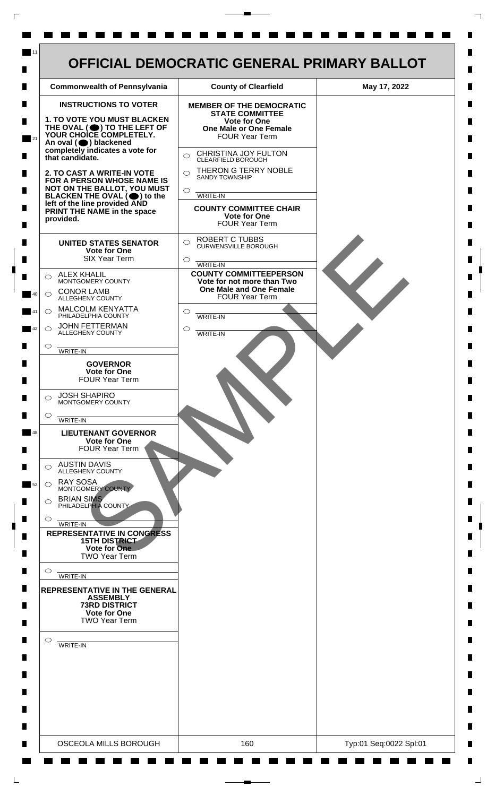| <b>Commonwealth of Pennsylvania</b>                                                                                                                                                                                                                                | <b>County of Clearfield</b>                                                   | May 17, 2022 |
|--------------------------------------------------------------------------------------------------------------------------------------------------------------------------------------------------------------------------------------------------------------------|-------------------------------------------------------------------------------|--------------|
| <b>INSTRUCTIONS TO VOTER</b>                                                                                                                                                                                                                                       | <b>MEMBER OF THE DEMOCRATIC</b><br><b>STATE COMMITTEE</b>                     |              |
| <b>1. TO VOTE YOU MUST BLACKEN</b><br>THE OVAL (O) TO THE LEFT OF YOUR CHOICE COMPLETELY.<br>An oval (O) blackened                                                                                                                                                 | <b>Vote for One</b><br><b>One Male or One Female</b><br><b>FOUR Year Term</b> |              |
| completely indicates a vote for<br>that candidate.<br>2. TO CAST A WRITE-IN VOTE<br>FOR A PERSON WHOSE NAME IS<br>NOT ON THE BALLOT, YOU MUST<br>BLACKEN THE OVAL $(\bigcirc)$ to the<br>left of the line provided AND<br>PRINT THE NAME in the space<br>provided. | CHRISTINA JOY FULTON<br>$\bigcirc$<br>CLEARFIELD BOROUGH                      |              |
|                                                                                                                                                                                                                                                                    | THERON G TERRY NOBLE<br>$\bigcirc$<br><b>SANDY TOWNSHIP</b>                   |              |
|                                                                                                                                                                                                                                                                    | $\circ$<br>WRITE-IN                                                           |              |
|                                                                                                                                                                                                                                                                    | <b>COUNTY COMMITTEE CHAIR</b><br><b>Vote for One</b><br><b>FOUR Year Term</b> |              |
| <b>UNITED STATES SENATOR</b><br><b>Vote for One</b>                                                                                                                                                                                                                | <b>ROBERT C TUBBS</b><br>$\bigcirc$<br><b>CURWENSVILLE BOROUGH</b>            |              |
| <b>SIX Year Term</b><br><b>ALEX KHALIL</b>                                                                                                                                                                                                                         | $\circ$<br>WRITE-IN<br><b>COUNTY COMMITTEEPERSON</b>                          |              |
| ◯<br>MONTGOMERY COUNTY<br><b>CONOR LAMB</b><br>$\bigcirc$                                                                                                                                                                                                          | Vote for not more than Two<br>One Male and One Female                         |              |
| ALLEGHENY COUNTY<br><b>MALCOLM KENYATTA</b><br>$\circ$                                                                                                                                                                                                             | <b>FOUR Year Term</b><br>$\circ$                                              |              |
| PHILADELPHIA COUNTY<br><b>JOHN FETTERMAN</b><br>$\bigcirc$<br>ALLEGHENY COUNTY                                                                                                                                                                                     | <b>WRITE-IN</b><br>◯<br>WRITE-IN                                              |              |
| $\circ$<br>WRITE-IN                                                                                                                                                                                                                                                |                                                                               |              |
| <b>GOVERNOR</b><br>Vote for One<br><b>FOUR Year Term</b>                                                                                                                                                                                                           |                                                                               |              |
| <b>JOSH SHAPIRO</b><br>⌒<br>MONTGOMERY COUNTY                                                                                                                                                                                                                      |                                                                               |              |
| $\circ$<br>WRITE-IN                                                                                                                                                                                                                                                |                                                                               |              |
| <b>LIEUTENANT GOVERNOR</b><br><b>Vote for One</b><br><b>FOUR Year Term</b>                                                                                                                                                                                         |                                                                               |              |
| <b>AUSTIN DAVIS</b><br>⌒<br>ALLEGHENY COUNTY                                                                                                                                                                                                                       |                                                                               |              |
| <b>RAY SOSA</b><br>$\bigcirc$<br>MONTGOMERY COUNTY                                                                                                                                                                                                                 |                                                                               |              |
| <b>BRIAN SIMS</b><br>$\circ$<br>PHILADELPHIA COUNTY                                                                                                                                                                                                                |                                                                               |              |
| $\circ$<br>WRITE-IN<br><b>REPRESENTATIVE IN CONGRESS</b><br><b>15TH DISTRICT</b>                                                                                                                                                                                   |                                                                               |              |
| Vote for One<br><b>TWO Year Term</b>                                                                                                                                                                                                                               |                                                                               |              |
| $\circ$<br>WRITE-IN                                                                                                                                                                                                                                                |                                                                               |              |
| <b>REPRESENTATIVE IN THE GENERAL</b><br><b>ASSEMBLY</b><br><b>73RD DISTRICT</b><br><b>Vote for One</b><br><b>TWO Year Term</b>                                                                                                                                     |                                                                               |              |
| $\circ$<br><b>WRITE-IN</b>                                                                                                                                                                                                                                         |                                                                               |              |
|                                                                                                                                                                                                                                                                    |                                                                               |              |
|                                                                                                                                                                                                                                                                    |                                                                               |              |
|                                                                                                                                                                                                                                                                    |                                                                               |              |

 $\Gamma$ 

 $\Box$ 

٦